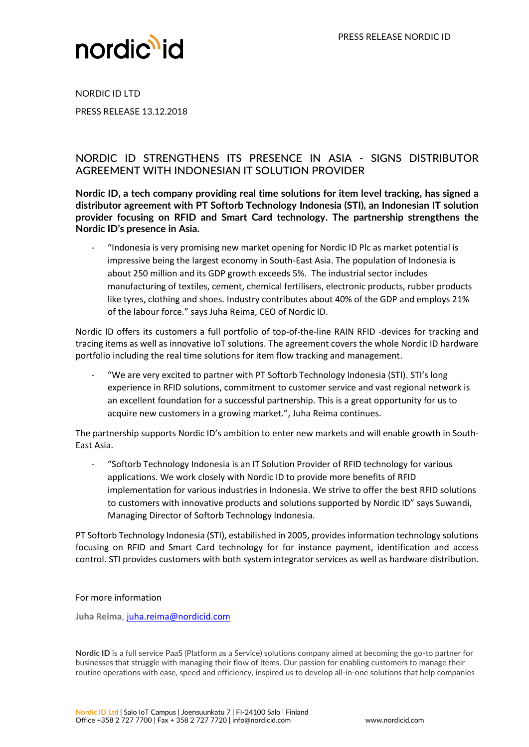

NORDIC ID LTD PRESS RELEASE 13.12.2018

## NORDIC ID STRENGTHENS ITS PRESENCE IN ASIA - SIGNS DISTRIBUTOR AGREEMENT WITH INDONESIAN IT SOLUTION PROVIDER

**Nordic ID, a tech company providing real time solutions for item level tracking, has signed a distributor agreement with PT Softorb Technology Indonesia (STI), an Indonesian IT solution provider focusing on RFID and Smart Card technology. The partnership strengthens the Nordic ID's presence in Asia.** 

- "Indonesia is very promising new market opening for Nordic ID Plc as market potential is impressive being the largest economy in South-East Asia. The population of Indonesia is about 250 million and its GDP growth exceeds 5%. The industrial sector includes manufacturing of textiles, cement, chemical fertilisers, electronic products, rubber products like tyres, clothing and shoes. Industry contributes about 40% of the GDP and employs 21% of the labour force." says Juha Reima, CEO of Nordic ID.

Nordic ID offers its customers a full portfolio of top-of-the-line RAIN RFID -devices for tracking and tracing items as well as innovative IoT solutions. The agreement covers the whole Nordic ID hardware portfolio including the real time solutions for item flow tracking and management.

"We are very excited to partner with PT Softorb Technology Indonesia (STI). STI's long experience in RFID solutions, commitment to customer service and vast regional network is an excellent foundation for a successful partnership. This is a great opportunity for us to acquire new customers in a growing market.", Juha Reima continues.

The partnership supports Nordic ID's ambition to enter new markets and will enable growth in South-East Asia.

"Softorb Technology Indonesia is an IT Solution Provider of RFID technology for various applications. We work closely with Nordic ID to provide more benefits of RFID implementation for various industries in Indonesia. We strive to offer the best RFID solutions to customers with innovative products and solutions supported by Nordic ID" says Suwandi, Managing Director of Softorb Technology Indonesia.

PT Softorb Technology Indonesia (STI), estabilished in 2005, provides information technology solutions focusing on RFID and Smart Card technology for for instance payment, identification and access control. STI provides customers with both system integrator services as well as hardware distribution.

## For more information

**Juha Reima**[, juha.reima@nordicid.com](mailto:juha.reima@nordicid.com)

**Nordic ID** is a full service PaaS (Platform as a Service) solutions company aimed at becoming the go-to partner for businesses that struggle with managing their flow of items. Our passion for enabling customers to manage their routine operations with ease, speed and efficiency, inspired us to develop all-in-one solutions that help companies